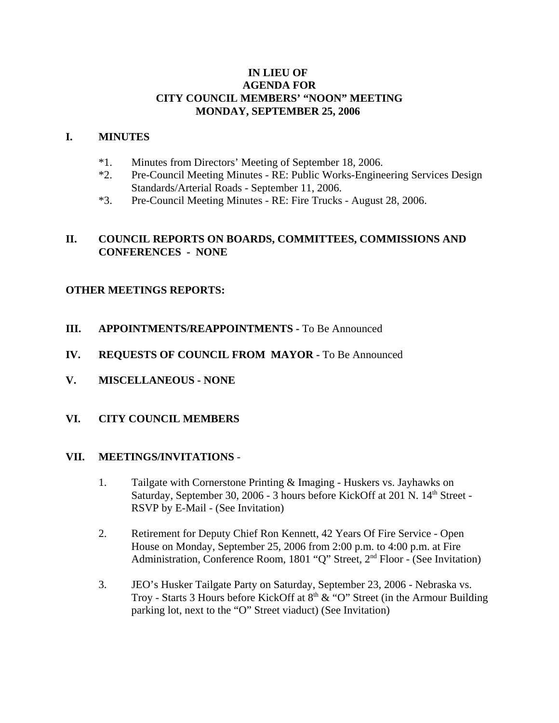## **IN LIEU OF AGENDA FOR CITY COUNCIL MEMBERS' "NOON" MEETING MONDAY, SEPTEMBER 25, 2006**

#### **I. MINUTES**

- \*1. Minutes from Directors' Meeting of September 18, 2006.
- \*2. Pre-Council Meeting Minutes RE: Public Works-Engineering Services Design Standards/Arterial Roads - September 11, 2006.
- \*3. Pre-Council Meeting Minutes RE: Fire Trucks August 28, 2006.

## **II. COUNCIL REPORTS ON BOARDS, COMMITTEES, COMMISSIONS AND CONFERENCES - NONE**

# **OTHER MEETINGS REPORTS:**

- **III.** APPOINTMENTS/REAPPOINTMENTS To Be Announced
- **IV. REQUESTS OF COUNCIL FROM MAYOR -** To Be Announced
- **V. MISCELLANEOUS NONE**
- **VI. CITY COUNCIL MEMBERS**

#### **VII. MEETINGS/INVITATIONS** -

- 1. Tailgate with Cornerstone Printing & Imaging Huskers vs. Jayhawks on Saturday, September 30, 2006 - 3 hours before KickOff at 201 N. 14<sup>th</sup> Street -RSVP by E-Mail - (See Invitation)
- 2. Retirement for Deputy Chief Ron Kennett, 42 Years Of Fire Service Open House on Monday, September 25, 2006 from 2:00 p.m. to 4:00 p.m. at Fire Administration, Conference Room, 1801 "Q" Street, 2nd Floor - (See Invitation)
- 3. JEO's Husker Tailgate Party on Saturday, September 23, 2006 Nebraska vs. Troy - Starts 3 Hours before KickOff at  $8<sup>th</sup> \& ^\circ$  "O" Street (in the Armour Building parking lot, next to the "O" Street viaduct) (See Invitation)